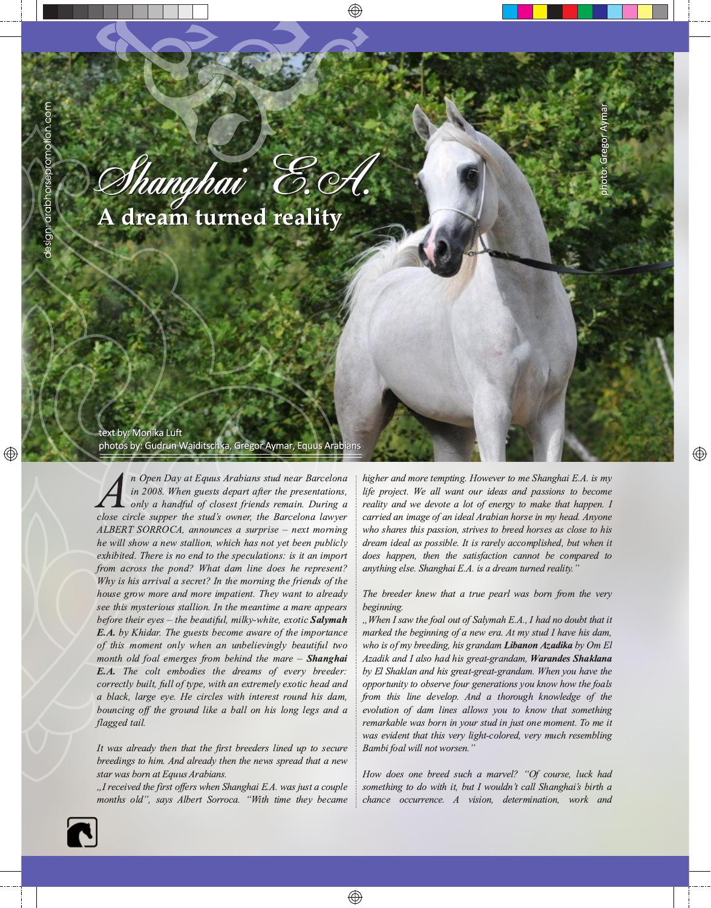Thanghai E.H

A dream turned reality

## text by: Monika Luft

photos by: Gudrun Waiditschka, Gregor Aymar, Equus Arabians

n Open Day at Equus Arabians stud near Barcelona in 2008. When guests depart after the presentations, only a handful of closest friends remain. During a close circle supper the stud's owner, the Barcelona lawyer ALBERT SORROCA, announces a surprise – next morning he will show a new stallion, which has not yet been publicly exhibited. There is no end to the speculations: is it an import from across the pond? What dam line does he represent? Why is his arrival a secret? In the morning the friends of the house grow more and more impatient. They want to already see this mysterious stallion. In the meantime a mare appears before their eves – the beautiful, milky-white, exotic  $Salymah$ **E.A.** by Khidar. The guests become aware of the importance of this moment only when an unbelievingly beautiful two month old foal emerges from behind the mare - Shanghai E.A. The colt embodies the dreams of every breeder: correctly built, full of type, with an extremely exotic head and a black, large eye. He circles with interest round his dam, bouncing off the ground like a ball on his long legs and a flagged tail.

It was already then that the first breeders lined up to secure breedings to him. And already then the news spread that a new star was born at Equus Arabians.

"I received the first offers when Shanghai E.A. was just a couple months old", says Albert Sorroca. "With time they became higher and more tempting. However to me Shanghai E.A. is my life project. We all want our ideas and passions to become reality and we devote a lot of energy to make that happen. I carried an image of an ideal Arabian horse in my head. Anyone who shares this passion, strives to breed horses as close to his dream ideal as possible. It is rarely accomplished, but when it does happen, then the satisfaction cannot be compared to anything else. Shanghai E.A. is a dream turned reality."

The breeder knew that a true pearl was born from the very beginning.

"When I saw the foal out of Salymah E.A., I had no doubt that it marked the beginning of a new era. At my stud I have his dam, who is of my breeding, his grandam Libanon Azadika by Om El Azadik and I also had his great-grandam, Warandes Shaklana by El Shaklan and his great-great-grandam. When you have the opportunity to observe four generations you know how the foals from this line develop. And a thorough knowledge of the evolution of dam lines allows you to know that something remarkable was born in your stud in just one moment. To me it was evident that this very light-colored, very much resembling Bambi foal will not worsen.'

How does one breed such a marvel? "Of course, luck had something to do with it, but I wouldn't call Shanghai's birth a chance occurrence. A vision, determination, work and

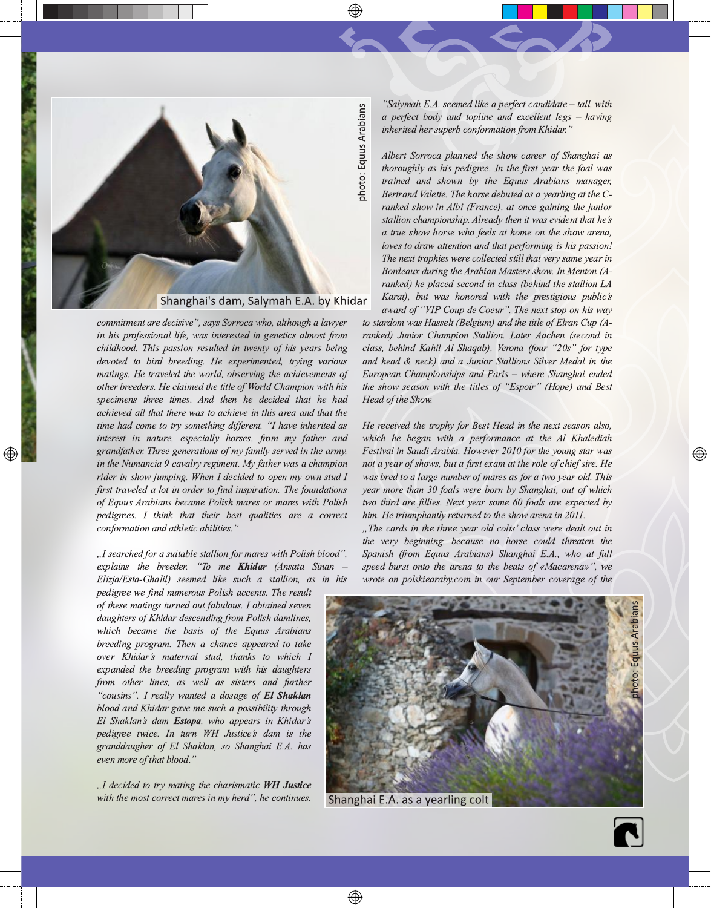

commitment are decisive", says Sorroca who, although a lawyer in his professional life, was interested in genetics almost from childhood. This passion resulted in twenty of his years being devoted to bird breeding. He experimented, trying various matings. He traveled the world, observing the achievements of other breeders. He claimed the title of World Champion with his specimens three times. And then he decided that he had achieved all that there was to achieve in this area and that the time had come to try something different. "I have inherited as interest in nature, especially horses, from my father and grandfather. Three generations of my family served in the army, in the Numancia 9 cavalry regiment. My father was a champion rider in show jumping. When I decided to open my own stud I first traveled a lot in order to find inspiration. The foundations of Equus Arabians became Polish mares or mares with Polish pedigrees. I think that their best qualities are a correct conformation and athletic abilities."

"I searched for a suitable stallion for mares with Polish blood", explains the breeder. "To me **Khidar** (Ansata Sinan Elizja/Esta-Ghalil) seemed like such a stallion, as in his

pedigree we find numerous Polish accents. The result of these matings turned out fabulous. I obtained seven daughters of Khidar descending from Polish damlines, which became the basis of the Equus Arabians breeding program. Then a chance appeared to take over Khidar's maternal stud, thanks to which I expanded the breeding program with his daughters from other lines, as well as sisters and further "cousins". I really wanted a dosage of El Shaklan blood and Khidar gave me such a possibility through El Shaklan's dam Estopa, who appears in Khidar's pedigree twice. In turn WH Justice's dam is the granddaugher of El Shaklan, so Shanghai E.A. has even more of that blood.'

"I decided to try mating the charismatic WH Justice with the most correct mares in my herd", he continues.

"Salymah E.A. seemed like a perfect candidate – tall, with a perfect body and topline and excellent legs  $-$  having inherited her superb conformation from Khidar."

Albert Sorroca planned the show career of Shanghai as thoroughly as his pedigree. In the first year the foal was trained and shown by the Equus Arabians manager, Bertrand Valette. The horse debuted as a yearling at the Cranked show in Albi (France), at once gaining the junior stallion championship. Already then it was evident that he's a true show horse who feels at home on the show arena, loves to draw attention and that performing is his passion! The next trophies were collected still that very same year in Bordeaux during the Arabian Masters show. In Menton (Aranked) he placed second in class (behind the stallion LA Karat), but was honored with the prestigious public's award of "VIP Coup de Coeur". The next stop on his way

to stardom was Hasselt (Belgium) and the title of Elran Cup (Aranked) Junior Champion Stallion. Later Aachen (second in class, behind Kahil Al Shaqab), Verona (four "20s" for type and head & neck) and a Junior Stallions Silver Medal in the European Championships and Paris - where Shanghai ended the show season with the titles of "Espoir" (Hope) and Best Head of the Show.

He received the trophy for Best Head in the next season also, which he began with a performance at the Al Khalediah Festival in Saudi Arabia. However 2010 for the young star was not a year of shows, but a first exam at the role of chief sire. He was bred to a large number of mares as for a two year old. This year more than 30 foals were born by Shanghai, out of which two third are fillies. Next year some 60 foals are expected by him. He triumphantly returned to the show arena in 2011.

"The cards in the three year old colts' class were dealt out in the very beginning, because no horse could threaten the Spanish (from Equus Arabians) Shanghai E.A., who at full speed burst onto the arena to the beats of «Macarena»", we wrote on polskiearaby.com in our September coverage of the



Shanghai E.A. as a yearling colt